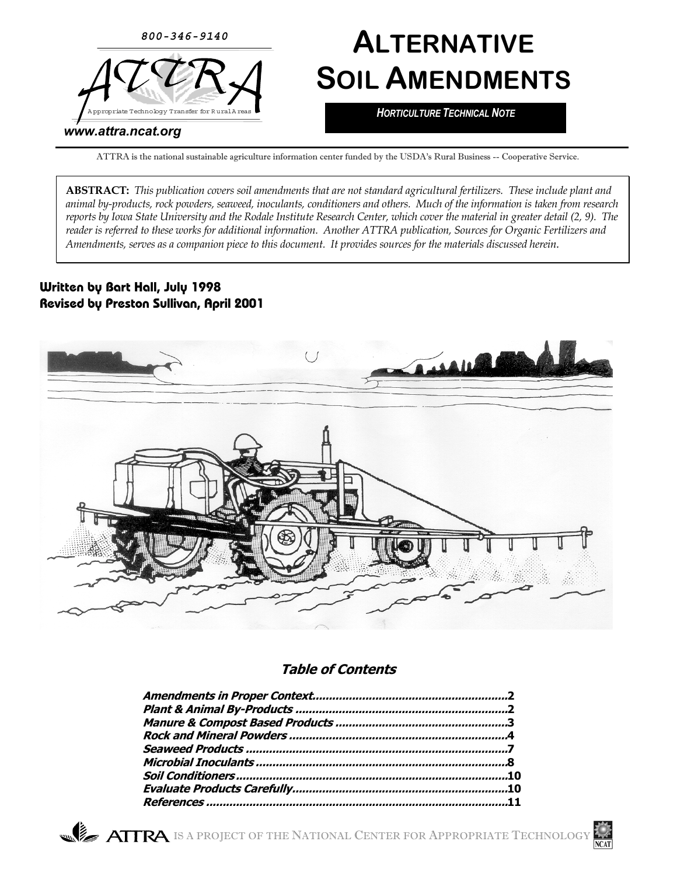

# **ALTERNATIVE SOIL AMENDMENTS**

*HORTICULTURE TECHNICAL NOTE*

#### *www.attra.ncat.org*

ATTRA is the national sustainable agriculture information center funded by the USDA's Rural Business -- Cooperative Service.

**ABSTRACT:** *This publication covers soil amendments that are not standard agricultural fertilizers. These include plant and animal by-products, rock powders, seaweed, inoculants, conditioners and others. Much of the information is taken from research reports by Iowa State University and the Rodale Institute Research Center, which cover the material in greater detail (2, 9). The reader is referred to these works for additional information. Another ATTRA publication, Sources for Organic Fertilizers and Amendments, serves as a companion piece to this document. It provides sources for the materials discussed herein.*

#### **Written by Bart Hall, July 1998 Revised by Preston Sullivan, April 2001**



#### **Table of Contents**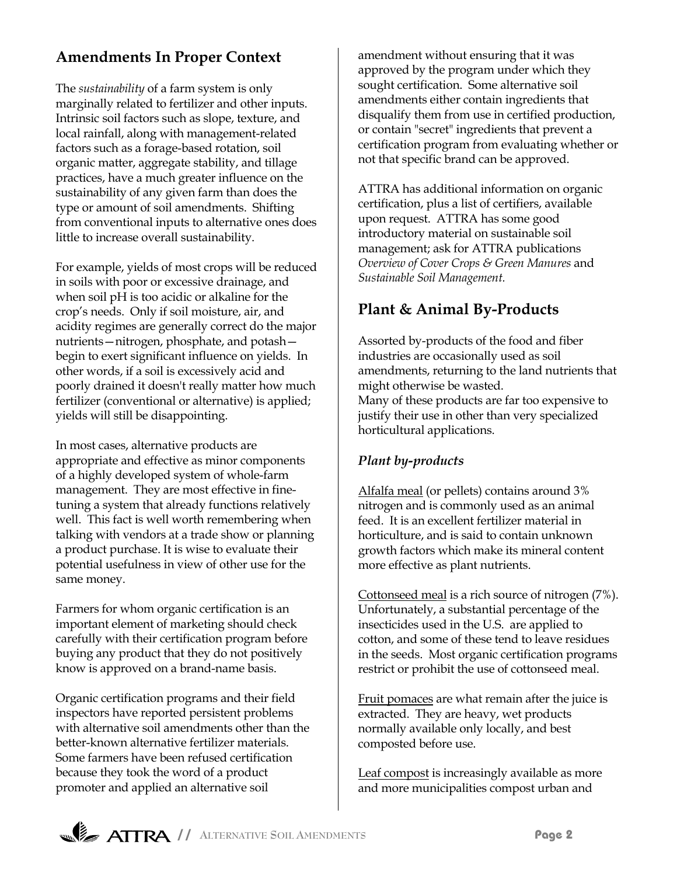# **Amendments In Proper Context**

The *sustainability* of a farm system is only marginally related to fertilizer and other inputs. Intrinsic soil factors such as slope, texture, and local rainfall, along with management-related factors such as a forage-based rotation, soil organic matter, aggregate stability, and tillage practices, have a much greater influence on the sustainability of any given farm than does the type or amount of soil amendments. Shifting from conventional inputs to alternative ones does little to increase overall sustainability.

For example, yields of most crops will be reduced in soils with poor or excessive drainage, and when soil pH is too acidic or alkaline for the cropís needs. Only if soil moisture, air, and acidity regimes are generally correct do the major nutrients – nitrogen, phosphate, and potash – begin to exert significant influence on yields. In other words, if a soil is excessively acid and poorly drained it doesn't really matter how much fertilizer (conventional or alternative) is applied; yields will still be disappointing.

In most cases, alternative products are appropriate and effective as minor components of a highly developed system of whole-farm management. They are most effective in finetuning a system that already functions relatively well. This fact is well worth remembering when talking with vendors at a trade show or planning a product purchase. It is wise to evaluate their potential usefulness in view of other use for the same money.

Farmers for whom organic certification is an important element of marketing should check carefully with their certification program before buying any product that they do not positively know is approved on a brand-name basis.

Organic certification programs and their field inspectors have reported persistent problems with alternative soil amendments other than the better-known alternative fertilizer materials. Some farmers have been refused certification because they took the word of a product promoter and applied an alternative soil

amendment without ensuring that it was approved by the program under which they sought certification. Some alternative soil amendments either contain ingredients that disqualify them from use in certified production, or contain "secret" ingredients that prevent a certification program from evaluating whether or not that specific brand can be approved.

ATTRA has additional information on organic certification, plus a list of certifiers, available upon request. ATTRA has some good introductory material on sustainable soil management; ask for ATTRA publications *Overview of Cover Crops & Green Manures* and *Sustainable Soil Management.*

## **Plant & Animal By-Products**

Assorted by-products of the food and fiber industries are occasionally used as soil amendments, returning to the land nutrients that might otherwise be wasted. Many of these products are far too expensive to justify their use in other than very specialized horticultural applications.

#### *Plant by-products*

Alfalfa meal (or pellets) contains around 3% nitrogen and is commonly used as an animal feed. It is an excellent fertilizer material in horticulture, and is said to contain unknown growth factors which make its mineral content more effective as plant nutrients.

Cottonseed meal is a rich source of nitrogen (7%). Unfortunately, a substantial percentage of the insecticides used in the U.S. are applied to cotton, and some of these tend to leave residues in the seeds. Most organic certification programs restrict or prohibit the use of cottonseed meal.

Fruit pomaces are what remain after the juice is extracted. They are heavy, wet products normally available only locally, and best composted before use.

Leaf compost is increasingly available as more and more municipalities compost urban and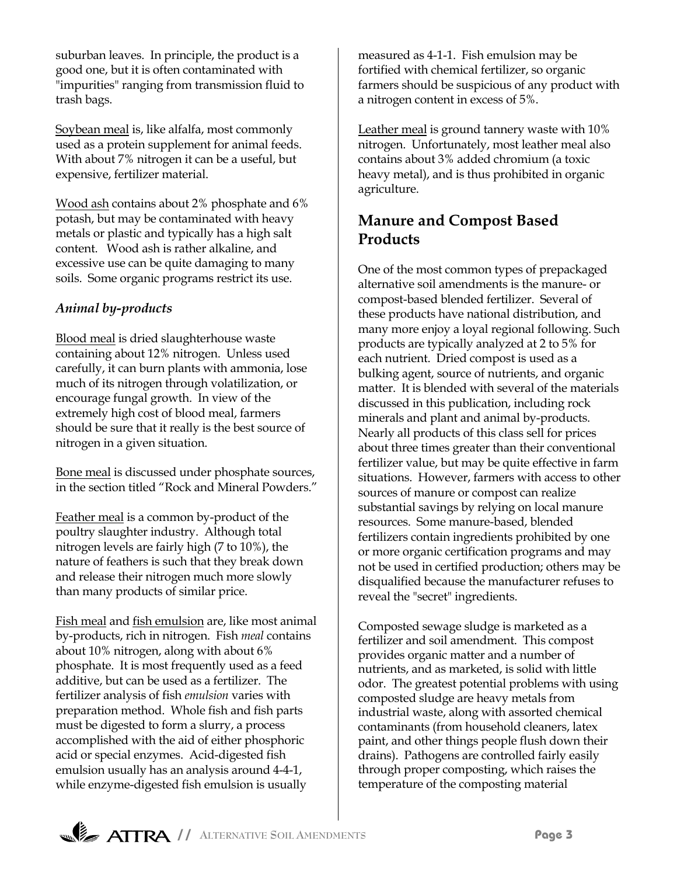suburban leaves. In principle, the product is a good one, but it is often contaminated with "impurities" ranging from transmission fluid to trash bags.

Soybean meal is, like alfalfa, most commonly used as a protein supplement for animal feeds. With about 7% nitrogen it can be a useful, but expensive, fertilizer material.

Wood ash contains about 2% phosphate and 6% potash, but may be contaminated with heavy metals or plastic and typically has a high salt content. Wood ash is rather alkaline, and excessive use can be quite damaging to many soils. Some organic programs restrict its use.

### *Animal by-products*

Blood meal is dried slaughterhouse waste containing about 12% nitrogen. Unless used carefully, it can burn plants with ammonia, lose much of its nitrogen through volatilization, or encourage fungal growth. In view of the extremely high cost of blood meal, farmers should be sure that it really is the best source of nitrogen in a given situation.

Bone meal is discussed under phosphate sources, in the section titled "Rock and Mineral Powders."

Feather meal is a common by-product of the poultry slaughter industry. Although total nitrogen levels are fairly high (7 to 10%), the nature of feathers is such that they break down and release their nitrogen much more slowly than many products of similar price.

Fish meal and fish emulsion are, like most animal by-products, rich in nitrogen. Fish *meal* contains about 10% nitrogen, along with about 6% phosphate. It is most frequently used as a feed additive, but can be used as a fertilizer. The fertilizer analysis of fish *emulsion* varies with preparation method. Whole fish and fish parts must be digested to form a slurry, a process accomplished with the aid of either phosphoric acid or special enzymes. Acid-digested fish emulsion usually has an analysis around 4-4-1, while enzyme-digested fish emulsion is usually

measured as 4-1-1. Fish emulsion may be fortified with chemical fertilizer, so organic farmers should be suspicious of any product with a nitrogen content in excess of 5%.

Leather meal is ground tannery waste with 10% nitrogen. Unfortunately, most leather meal also contains about 3% added chromium (a toxic heavy metal), and is thus prohibited in organic agriculture.

# **Manure and Compost Based Products**

One of the most common types of prepackaged alternative soil amendments is the manure- or compost-based blended fertilizer. Several of these products have national distribution, and many more enjoy a loyal regional following. Such products are typically analyzed at 2 to 5% for each nutrient. Dried compost is used as a bulking agent, source of nutrients, and organic matter. It is blended with several of the materials discussed in this publication, including rock minerals and plant and animal by-products. Nearly all products of this class sell for prices about three times greater than their conventional fertilizer value, but may be quite effective in farm situations. However, farmers with access to other sources of manure or compost can realize substantial savings by relying on local manure resources. Some manure-based, blended fertilizers contain ingredients prohibited by one or more organic certification programs and may not be used in certified production; others may be disqualified because the manufacturer refuses to reveal the "secret" ingredients.

Composted sewage sludge is marketed as a fertilizer and soil amendment. This compost provides organic matter and a number of nutrients, and as marketed, is solid with little odor. The greatest potential problems with using composted sludge are heavy metals from industrial waste, along with assorted chemical contaminants (from household cleaners, latex paint, and other things people flush down their drains). Pathogens are controlled fairly easily through proper composting, which raises the temperature of the composting material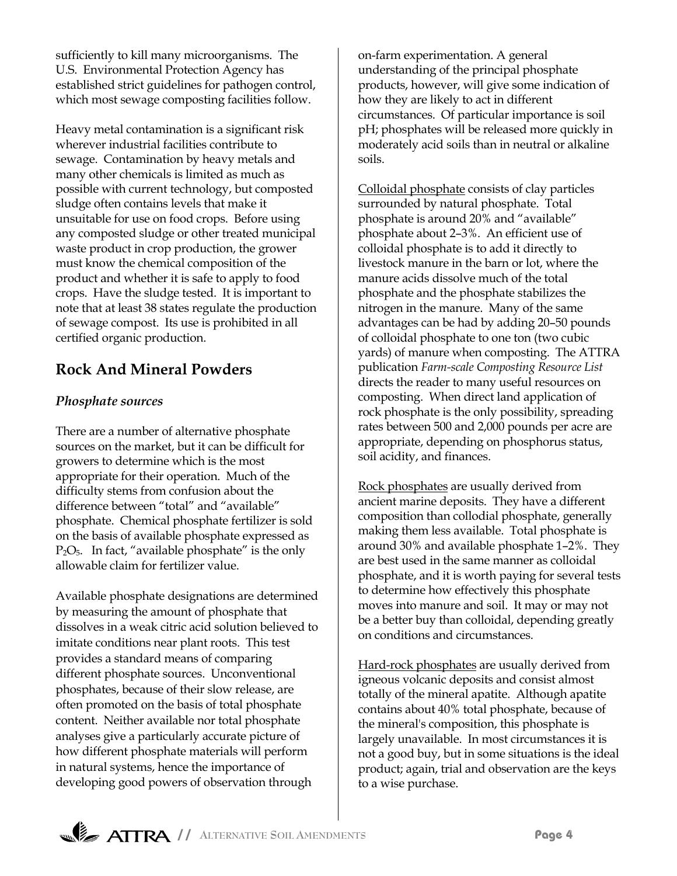sufficiently to kill many microorganisms. The U.S. Environmental Protection Agency has established strict guidelines for pathogen control, which most sewage composting facilities follow.

Heavy metal contamination is a significant risk wherever industrial facilities contribute to sewage. Contamination by heavy metals and many other chemicals is limited as much as possible with current technology, but composted sludge often contains levels that make it unsuitable for use on food crops. Before using any composted sludge or other treated municipal waste product in crop production, the grower must know the chemical composition of the product and whether it is safe to apply to food crops. Have the sludge tested. It is important to note that at least 38 states regulate the production of sewage compost. Its use is prohibited in all certified organic production.

# **Rock And Mineral Powders**

## *Phosphate sources*

There are a number of alternative phosphate sources on the market, but it can be difficult for growers to determine which is the most appropriate for their operation. Much of the difficulty stems from confusion about the difference between "total" and "available" phosphate. Chemical phosphate fertilizer is sold on the basis of available phosphate expressed as  $P_2O_5$ . In fact, "available phosphate" is the only allowable claim for fertilizer value.

Available phosphate designations are determined by measuring the amount of phosphate that dissolves in a weak citric acid solution believed to imitate conditions near plant roots. This test provides a standard means of comparing different phosphate sources. Unconventional phosphates, because of their slow release, are often promoted on the basis of total phosphate content. Neither available nor total phosphate analyses give a particularly accurate picture of how different phosphate materials will perform in natural systems, hence the importance of developing good powers of observation through

on-farm experimentation. A general understanding of the principal phosphate products, however, will give some indication of how they are likely to act in different circumstances. Of particular importance is soil pH; phosphates will be released more quickly in moderately acid soils than in neutral or alkaline soils.

Colloidal phosphate consists of clay particles surrounded by natural phosphate. Total phosphate is around 20% and "available" phosphate about 2-3%. An efficient use of colloidal phosphate is to add it directly to livestock manure in the barn or lot, where the manure acids dissolve much of the total phosphate and the phosphate stabilizes the nitrogen in the manure. Many of the same advantages can be had by adding 20–50 pounds of colloidal phosphate to one ton (two cubic yards) of manure when composting. The ATTRA publication *Farm-scale Composting Resource List* directs the reader to many useful resources on composting. When direct land application of rock phosphate is the only possibility, spreading rates between 500 and 2,000 pounds per acre are appropriate, depending on phosphorus status, soil acidity, and finances.

Rock phosphates are usually derived from ancient marine deposits. They have a different composition than collodial phosphate, generally making them less available. Total phosphate is around 30% and available phosphate  $1-2%$ . They are best used in the same manner as colloidal phosphate, and it is worth paying for several tests to determine how effectively this phosphate moves into manure and soil. It may or may not be a better buy than colloidal, depending greatly on conditions and circumstances.

Hard-rock phosphates are usually derived from igneous volcanic deposits and consist almost totally of the mineral apatite. Although apatite contains about 40% total phosphate, because of the mineral's composition, this phosphate is largely unavailable. In most circumstances it is not a good buy, but in some situations is the ideal product; again, trial and observation are the keys to a wise purchase.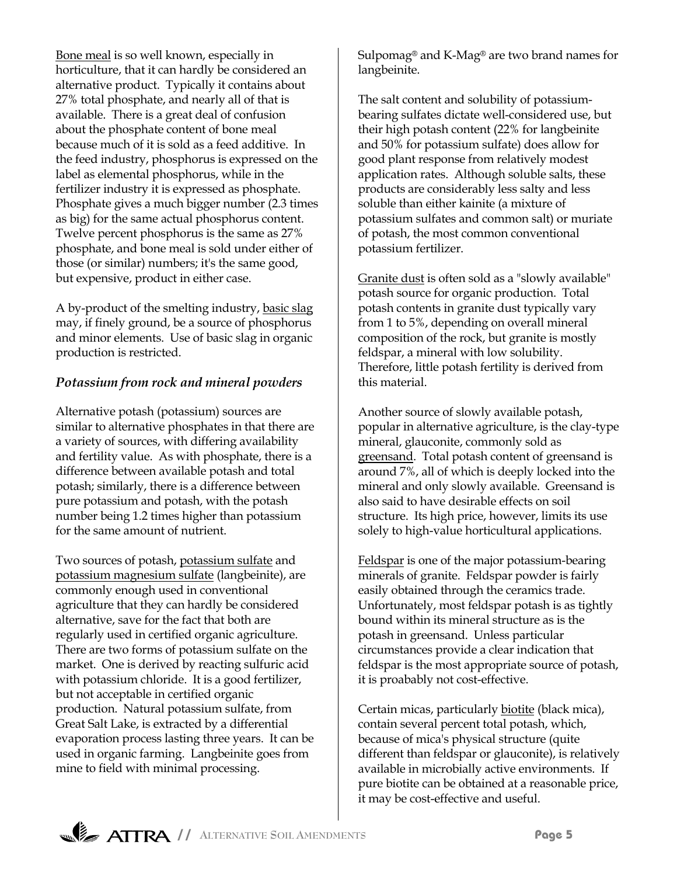Bone meal is so well known, especially in horticulture, that it can hardly be considered an alternative product. Typically it contains about 27% total phosphate, and nearly all of that is available. There is a great deal of confusion about the phosphate content of bone meal because much of it is sold as a feed additive. In the feed industry, phosphorus is expressed on the label as elemental phosphorus, while in the fertilizer industry it is expressed as phosphate. Phosphate gives a much bigger number (2.3 times as big) for the same actual phosphorus content. Twelve percent phosphorus is the same as 27% phosphate, and bone meal is sold under either of those (or similar) numbers; it's the same good, but expensive, product in either case.

A by-product of the smelting industry, basic slag may, if finely ground, be a source of phosphorus and minor elements. Use of basic slag in organic production is restricted.

#### *Potassium from rock and mineral powders*

Alternative potash (potassium) sources are similar to alternative phosphates in that there are a variety of sources, with differing availability and fertility value. As with phosphate, there is a difference between available potash and total potash; similarly, there is a difference between pure potassium and potash, with the potash number being 1.2 times higher than potassium for the same amount of nutrient.

Two sources of potash, potassium sulfate and potassium magnesium sulfate (langbeinite), are commonly enough used in conventional agriculture that they can hardly be considered alternative, save for the fact that both are regularly used in certified organic agriculture. There are two forms of potassium sulfate on the market. One is derived by reacting sulfuric acid with potassium chloride. It is a good fertilizer, but not acceptable in certified organic production. Natural potassium sulfate, from Great Salt Lake, is extracted by a differential evaporation process lasting three years. It can be used in organic farming. Langbeinite goes from mine to field with minimal processing.

Sulpomag<sup>®</sup> and K-Mag<sup>®</sup> are two brand names for langbeinite.

The salt content and solubility of potassiumbearing sulfates dictate well-considered use, but their high potash content (22% for langbeinite and 50% for potassium sulfate) does allow for good plant response from relatively modest application rates. Although soluble salts, these products are considerably less salty and less soluble than either kainite (a mixture of potassium sulfates and common salt) or muriate of potash, the most common conventional potassium fertilizer.

Granite dust is often sold as a "slowly available" potash source for organic production. Total potash contents in granite dust typically vary from 1 to 5%, depending on overall mineral composition of the rock, but granite is mostly feldspar, a mineral with low solubility. Therefore, little potash fertility is derived from this material.

Another source of slowly available potash, popular in alternative agriculture, is the clay-type mineral, glauconite, commonly sold as greensand. Total potash content of greensand is around 7%, all of which is deeply locked into the mineral and only slowly available. Greensand is also said to have desirable effects on soil structure. Its high price, however, limits its use solely to high-value horticultural applications.

Feldspar is one of the major potassium-bearing minerals of granite. Feldspar powder is fairly easily obtained through the ceramics trade. Unfortunately, most feldspar potash is as tightly bound within its mineral structure as is the potash in greensand. Unless particular circumstances provide a clear indication that feldspar is the most appropriate source of potash, it is proabably not cost-effective.

Certain micas, particularly biotite (black mica), contain several percent total potash, which, because of mica's physical structure (quite different than feldspar or glauconite), is relatively available in microbially active environments. If pure biotite can be obtained at a reasonable price, it may be cost-effective and useful.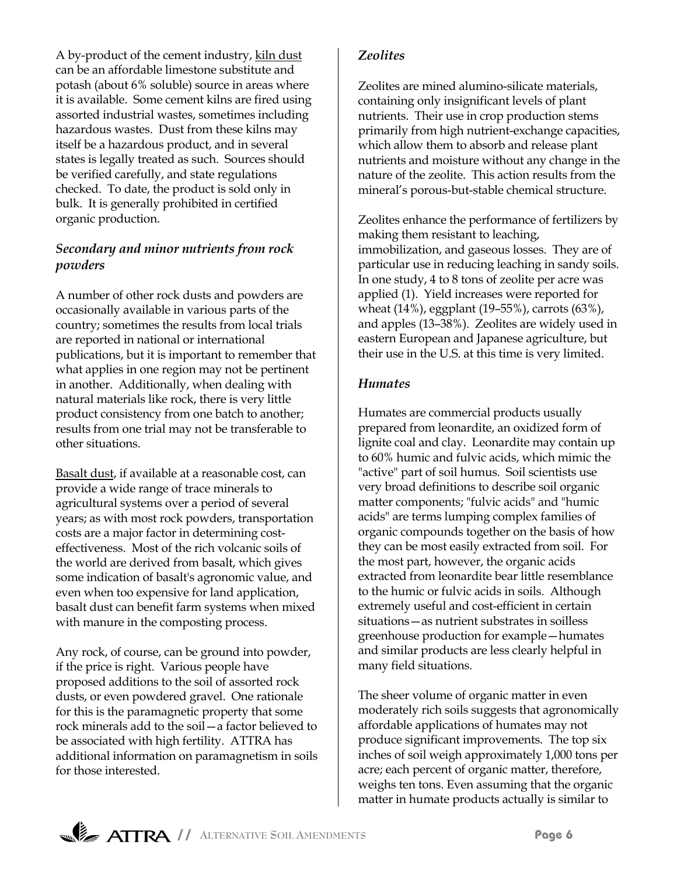A by-product of the cement industry, kiln dust can be an affordable limestone substitute and potash (about 6% soluble) source in areas where it is available. Some cement kilns are fired using assorted industrial wastes, sometimes including hazardous wastes. Dust from these kilns may itself be a hazardous product, and in several states is legally treated as such. Sources should be verified carefully, and state regulations checked. To date, the product is sold only in bulk. It is generally prohibited in certified organic production.

#### *Secondary and minor nutrients from rock powders*

A number of other rock dusts and powders are occasionally available in various parts of the country; sometimes the results from local trials are reported in national or international publications, but it is important to remember that what applies in one region may not be pertinent in another. Additionally, when dealing with natural materials like rock, there is very little product consistency from one batch to another; results from one trial may not be transferable to other situations.

Basalt dust, if available at a reasonable cost, can provide a wide range of trace minerals to agricultural systems over a period of several years; as with most rock powders, transportation costs are a major factor in determining costeffectiveness. Most of the rich volcanic soils of the world are derived from basalt, which gives some indication of basalt's agronomic value, and even when too expensive for land application, basalt dust can benefit farm systems when mixed with manure in the composting process.

Any rock, of course, can be ground into powder, if the price is right. Various people have proposed additions to the soil of assorted rock dusts, or even powdered gravel. One rationale for this is the paramagnetic property that some rock minerals add to the soil—a factor believed to be associated with high fertility. ATTRA has additional information on paramagnetism in soils for those interested.

#### *Zeolites*

Zeolites are mined alumino-silicate materials, containing only insignificant levels of plant nutrients. Their use in crop production stems primarily from high nutrient-exchange capacities, which allow them to absorb and release plant nutrients and moisture without any change in the nature of the zeolite. This action results from the mineral's porous-but-stable chemical structure.

Zeolites enhance the performance of fertilizers by making them resistant to leaching, immobilization, and gaseous losses. They are of particular use in reducing leaching in sandy soils. In one study, 4 to 8 tons of zeolite per acre was applied (1). Yield increases were reported for wheat (14%), eggplant (19-55%), carrots (63%), and apples  $(13-38%)$ . Zeolites are widely used in eastern European and Japanese agriculture, but their use in the U.S. at this time is very limited.

#### *Humates*

Humates are commercial products usually prepared from leonardite, an oxidized form of lignite coal and clay. Leonardite may contain up to 60% humic and fulvic acids, which mimic the "active" part of soil humus. Soil scientists use very broad definitions to describe soil organic matter components; "fulvic acids" and "humic acids" are terms lumping complex families of organic compounds together on the basis of how they can be most easily extracted from soil. For the most part, however, the organic acids extracted from leonardite bear little resemblance to the humic or fulvic acids in soils. Although extremely useful and cost-efficient in certain situations - as nutrient substrates in soilless greenhouse production for example–humates and similar products are less clearly helpful in many field situations.

The sheer volume of organic matter in even moderately rich soils suggests that agronomically affordable applications of humates may not produce significant improvements. The top six inches of soil weigh approximately 1,000 tons per acre; each percent of organic matter, therefore, weighs ten tons. Even assuming that the organic matter in humate products actually is similar to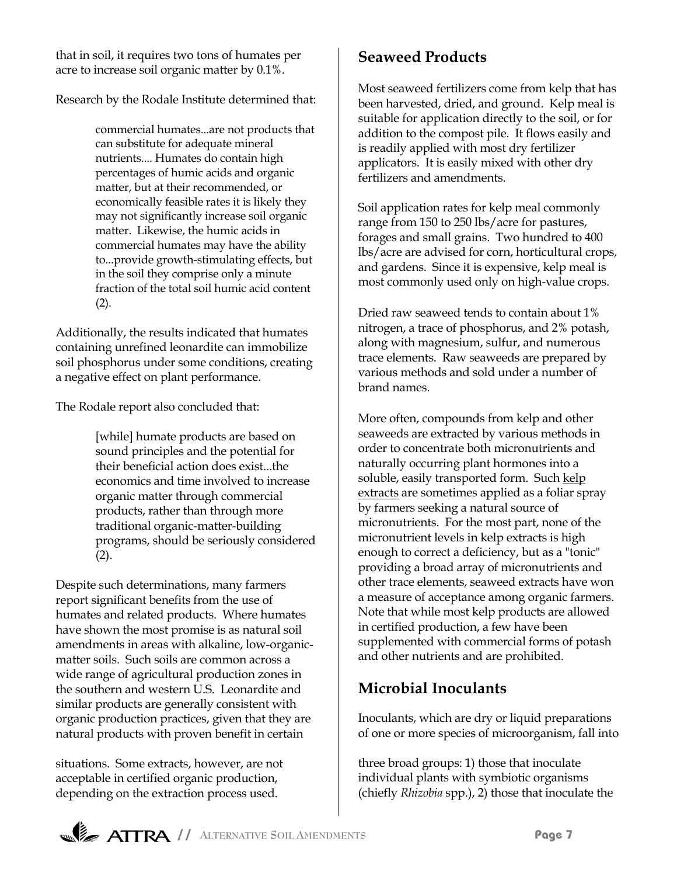that in soil, it requires two tons of humates per acre to increase soil organic matter by 0.1%.

Research by the Rodale Institute determined that:

commercial humates...are not products that can substitute for adequate mineral nutrients.... Humates do contain high percentages of humic acids and organic matter, but at their recommended, or economically feasible rates it is likely they may not significantly increase soil organic matter. Likewise, the humic acids in commercial humates may have the ability to...provide growth-stimulating effects, but in the soil they comprise only a minute fraction of the total soil humic acid content (2).

Additionally, the results indicated that humates containing unrefined leonardite can immobilize soil phosphorus under some conditions, creating a negative effect on plant performance.

The Rodale report also concluded that:

[while] humate products are based on sound principles and the potential for their beneficial action does exist...the economics and time involved to increase organic matter through commercial products, rather than through more traditional organic-matter-building programs, should be seriously considered  $(2).$ 

Despite such determinations, many farmers report significant benefits from the use of humates and related products. Where humates have shown the most promise is as natural soil amendments in areas with alkaline, low-organicmatter soils. Such soils are common across a wide range of agricultural production zones in the southern and western U.S. Leonardite and similar products are generally consistent with organic production practices, given that they are natural products with proven benefit in certain

situations. Some extracts, however, are not acceptable in certified organic production, depending on the extraction process used.

# **Seaweed Products**

Most seaweed fertilizers come from kelp that has been harvested, dried, and ground. Kelp meal is suitable for application directly to the soil, or for addition to the compost pile. It flows easily and is readily applied with most dry fertilizer applicators. It is easily mixed with other dry fertilizers and amendments.

Soil application rates for kelp meal commonly range from 150 to 250 lbs/acre for pastures, forages and small grains. Two hundred to 400 lbs/acre are advised for corn, horticultural crops, and gardens. Since it is expensive, kelp meal is most commonly used only on high-value crops.

Dried raw seaweed tends to contain about 1% nitrogen, a trace of phosphorus, and 2% potash, along with magnesium, sulfur, and numerous trace elements. Raw seaweeds are prepared by various methods and sold under a number of brand names.

More often, compounds from kelp and other seaweeds are extracted by various methods in order to concentrate both micronutrients and naturally occurring plant hormones into a soluble, easily transported form. Such kelp extracts are sometimes applied as a foliar spray by farmers seeking a natural source of micronutrients. For the most part, none of the micronutrient levels in kelp extracts is high enough to correct a deficiency, but as a "tonic" providing a broad array of micronutrients and other trace elements, seaweed extracts have won a measure of acceptance among organic farmers. Note that while most kelp products are allowed in certified production, a few have been supplemented with commercial forms of potash and other nutrients and are prohibited.

# **Microbial Inoculants**

Inoculants, which are dry or liquid preparations of one or more species of microorganism, fall into

three broad groups: 1) those that inoculate individual plants with symbiotic organisms (chiefly *Rhizobia* spp.), 2) those that inoculate the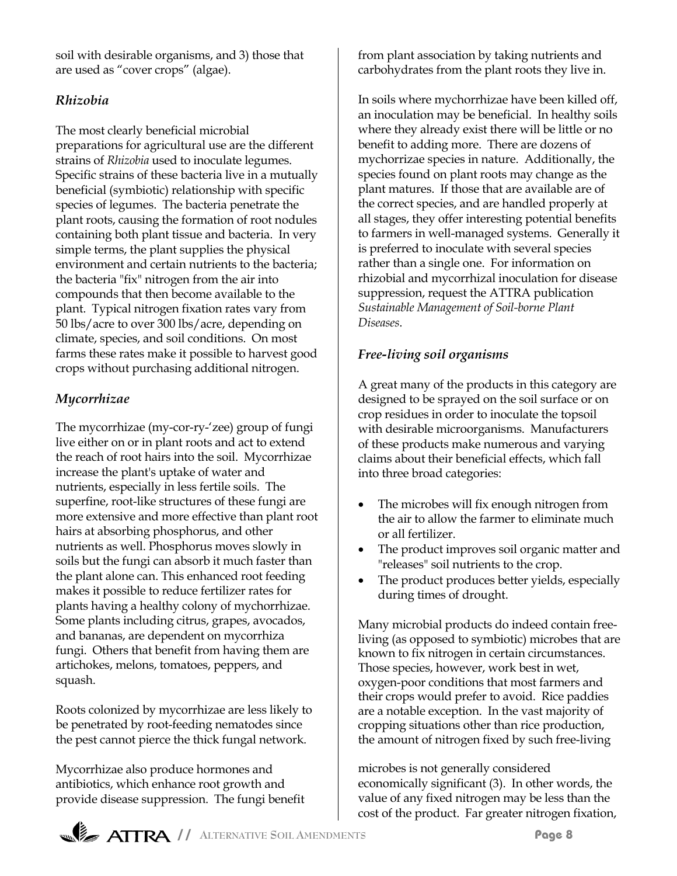soil with desirable organisms, and 3) those that are used as "cover crops" (algae).

#### *Rhizobia*

The most clearly beneficial microbial preparations for agricultural use are the different strains of *Rhizobia* used to inoculate legumes. Specific strains of these bacteria live in a mutually beneficial (symbiotic) relationship with specific species of legumes. The bacteria penetrate the plant roots, causing the formation of root nodules containing both plant tissue and bacteria. In very simple terms, the plant supplies the physical environment and certain nutrients to the bacteria; the bacteria "fix" nitrogen from the air into compounds that then become available to the plant. Typical nitrogen fixation rates vary from 50 lbs/acre to over 300 lbs/acre, depending on climate, species, and soil conditions. On most farms these rates make it possible to harvest good crops without purchasing additional nitrogen.

## *Mycorrhizae*

The mycorrhizae (my-cor-ry-'zee) group of fungi live either on or in plant roots and act to extend the reach of root hairs into the soil. Mycorrhizae increase the plant's uptake of water and nutrients, especially in less fertile soils. The superfine, root-like structures of these fungi are more extensive and more effective than plant root hairs at absorbing phosphorus, and other nutrients as well. Phosphorus moves slowly in soils but the fungi can absorb it much faster than the plant alone can. This enhanced root feeding makes it possible to reduce fertilizer rates for plants having a healthy colony of mychorrhizae. Some plants including citrus, grapes, avocados, and bananas, are dependent on mycorrhiza fungi. Others that benefit from having them are artichokes, melons, tomatoes, peppers, and squash.

Roots colonized by mycorrhizae are less likely to be penetrated by root-feeding nematodes since the pest cannot pierce the thick fungal network.

Mycorrhizae also produce hormones and antibiotics, which enhance root growth and provide disease suppression. The fungi benefit from plant association by taking nutrients and carbohydrates from the plant roots they live in.

In soils where mychorrhizae have been killed off, an inoculation may be beneficial. In healthy soils where they already exist there will be little or no benefit to adding more. There are dozens of mychorrizae species in nature. Additionally, the species found on plant roots may change as the plant matures. If those that are available are of the correct species, and are handled properly at all stages, they offer interesting potential benefits to farmers in well-managed systems. Generally it is preferred to inoculate with several species rather than a single one. For information on rhizobial and mycorrhizal inoculation for disease suppression, request the ATTRA publication *Sustainable Management of Soil-borne Plant Diseases*.

## *Free-living soil organisms*

A great many of the products in this category are designed to be sprayed on the soil surface or on crop residues in order to inoculate the topsoil with desirable microorganisms. Manufacturers of these products make numerous and varying claims about their beneficial effects, which fall into three broad categories:

- The microbes will fix enough nitrogen from the air to allow the farmer to eliminate much or all fertilizer.
- The product improves soil organic matter and "releases" soil nutrients to the crop.
- The product produces better yields, especially during times of drought.

Many microbial products do indeed contain freeliving (as opposed to symbiotic) microbes that are known to fix nitrogen in certain circumstances. Those species, however, work best in wet, oxygen-poor conditions that most farmers and their crops would prefer to avoid. Rice paddies are a notable exception. In the vast majority of cropping situations other than rice production, the amount of nitrogen fixed by such free-living

microbes is not generally considered economically significant (3). In other words, the value of any fixed nitrogen may be less than the cost of the product. Far greater nitrogen fixation,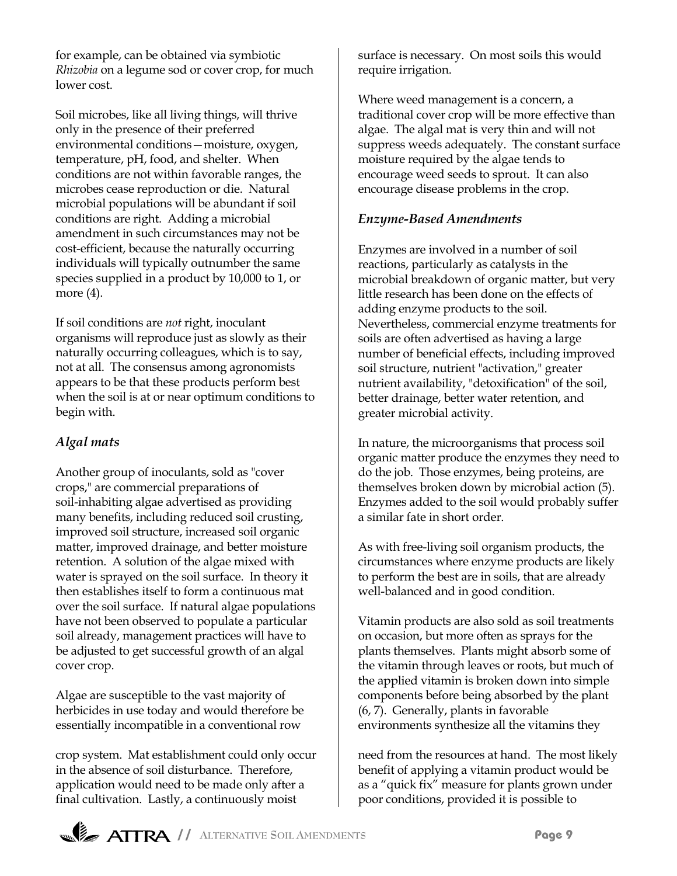for example, can be obtained via symbiotic *Rhizobia* on a legume sod or cover crop, for much lower cost.

Soil microbes, like all living things, will thrive only in the presence of their preferred environmental conditions - moisture, oxygen, temperature, pH, food, and shelter. When conditions are not within favorable ranges, the microbes cease reproduction or die. Natural microbial populations will be abundant if soil conditions are right. Adding a microbial amendment in such circumstances may not be cost-efficient, because the naturally occurring individuals will typically outnumber the same species supplied in a product by 10,000 to 1, or more (4).

If soil conditions are *not* right, inoculant organisms will reproduce just as slowly as their naturally occurring colleagues, which is to say, not at all. The consensus among agronomists appears to be that these products perform best when the soil is at or near optimum conditions to begin with.

## *Algal mats*

Another group of inoculants, sold as "cover crops," are commercial preparations of soil-inhabiting algae advertised as providing many benefits, including reduced soil crusting, improved soil structure, increased soil organic matter, improved drainage, and better moisture retention. A solution of the algae mixed with water is sprayed on the soil surface. In theory it then establishes itself to form a continuous mat over the soil surface. If natural algae populations have not been observed to populate a particular soil already, management practices will have to be adjusted to get successful growth of an algal cover crop.

Algae are susceptible to the vast majority of herbicides in use today and would therefore be essentially incompatible in a conventional row

crop system. Mat establishment could only occur in the absence of soil disturbance. Therefore, application would need to be made only after a final cultivation. Lastly, a continuously moist

surface is necessary. On most soils this would require irrigation.

Where weed management is a concern, a traditional cover crop will be more effective than algae. The algal mat is very thin and will not suppress weeds adequately. The constant surface moisture required by the algae tends to encourage weed seeds to sprout. It can also encourage disease problems in the crop.

## *Enzyme-Based Amendments*

Enzymes are involved in a number of soil reactions, particularly as catalysts in the microbial breakdown of organic matter, but very little research has been done on the effects of adding enzyme products to the soil. Nevertheless, commercial enzyme treatments for soils are often advertised as having a large number of beneficial effects, including improved soil structure, nutrient "activation," greater nutrient availability, "detoxification" of the soil, better drainage, better water retention, and greater microbial activity.

In nature, the microorganisms that process soil organic matter produce the enzymes they need to do the job. Those enzymes, being proteins, are themselves broken down by microbial action (5). Enzymes added to the soil would probably suffer a similar fate in short order.

As with free-living soil organism products, the circumstances where enzyme products are likely to perform the best are in soils, that are already well-balanced and in good condition.

Vitamin products are also sold as soil treatments on occasion, but more often as sprays for the plants themselves. Plants might absorb some of the vitamin through leaves or roots, but much of the applied vitamin is broken down into simple components before being absorbed by the plant (6, 7). Generally, plants in favorable environments synthesize all the vitamins they

need from the resources at hand. The most likely benefit of applying a vitamin product would be as a "quick fix" measure for plants grown under poor conditions, provided it is possible to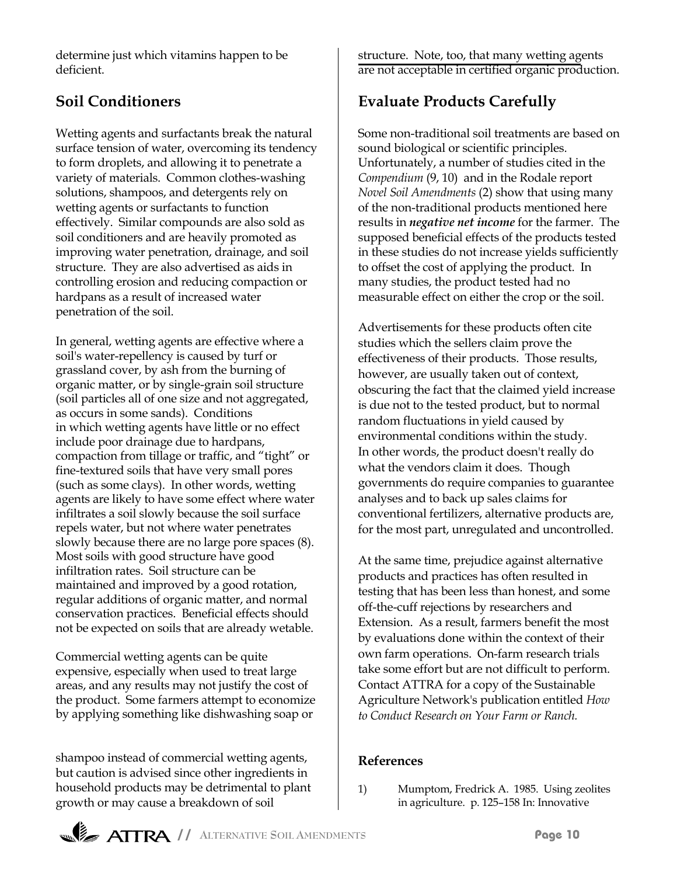determine just which vitamins happen to be deficient.

# **Soil Conditioners**

Wetting agents and surfactants break the natural surface tension of water, overcoming its tendency to form droplets, and allowing it to penetrate a variety of materials. Common clothes-washing solutions, shampoos, and detergents rely on wetting agents or surfactants to function effectively. Similar compounds are also sold as soil conditioners and are heavily promoted as improving water penetration, drainage, and soil structure. They are also advertised as aids in controlling erosion and reducing compaction or hardpans as a result of increased water penetration of the soil.

In general, wetting agents are effective where a soil's water-repellency is caused by turf or grassland cover, by ash from the burning of organic matter, or by single-grain soil structure (soil particles all of one size and not aggregated, as occurs in some sands). Conditions in which wetting agents have little or no effect include poor drainage due to hardpans, compaction from tillage or traffic, and "tight" or fine-textured soils that have very small pores (such as some clays). In other words, wetting agents are likely to have some effect where water infiltrates a soil slowly because the soil surface repels water, but not where water penetrates slowly because there are no large pore spaces (8). Most soils with good structure have good infiltration rates. Soil structure can be maintained and improved by a good rotation, regular additions of organic matter, and normal conservation practices. Beneficial effects should not be expected on soils that are already wetable.

Commercial wetting agents can be quite expensive, especially when used to treat large areas, and any results may not justify the cost of the product. Some farmers attempt to economize by applying something like dishwashing soap or

shampoo instead of commercial wetting agents, but caution is advised since other ingredients in household products may be detrimental to plant growth or may cause a breakdown of soil

structure. Note, too, that many wetting agents are not acceptable in certified organic production.

# **Evaluate Products Carefully**

Some non-traditional soil treatments are based on sound biological or scientific principles. Unfortunately, a number of studies cited in the *Compendium* (9, 10) and in the Rodale report *Novel Soil Amendments* (2) show that using many of the non-traditional products mentioned here results in *negative net income* for the farmer. The supposed beneficial effects of the products tested in these studies do not increase yields sufficiently to offset the cost of applying the product. In many studies, the product tested had no measurable effect on either the crop or the soil.

Advertisements for these products often cite studies which the sellers claim prove the effectiveness of their products. Those results, however, are usually taken out of context, obscuring the fact that the claimed yield increase is due not to the tested product, but to normal random fluctuations in yield caused by environmental conditions within the study. In other words, the product doesn't really do what the vendors claim it does. Though governments do require companies to guarantee analyses and to back up sales claims for conventional fertilizers, alternative products are, for the most part, unregulated and uncontrolled.

At the same time, prejudice against alternative products and practices has often resulted in testing that has been less than honest, and some off-the-cuff rejections by researchers and Extension. As a result, farmers benefit the most by evaluations done within the context of their own farm operations. On-farm research trials take some effort but are not difficult to perform. Contact ATTRA for a copy of the Sustainable Agriculture Network's publication entitled *How to Conduct Research on Your Farm or Ranch.*

#### **References**

1) Mumptom, Fredrick A. 1985. Using zeolites in agriculture. p. 125-158 In: Innovative

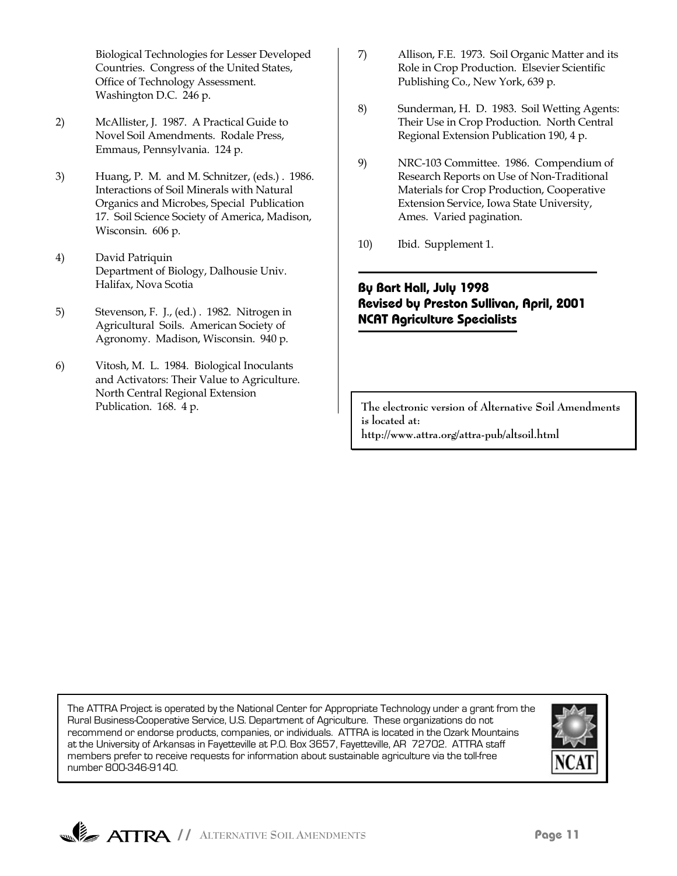Biological Technologies for Lesser Developed Countries. Congress of the United States, Office of Technology Assessment. Washington D.C. 246 p.

- 2) McAllister, J. 1987. A Practical Guide to Novel Soil Amendments. Rodale Press, Emmaus, Pennsylvania. 124 p.
- 3) Huang, P. M. and M. Schnitzer, (eds.) . 1986. Interactions of Soil Minerals with Natural Organics and Microbes, Special Publication 17. Soil Science Society of America, Madison, Wisconsin. 606 p.
- 4) David Patriquin Department of Biology, Dalhousie Univ. Halifax, Nova Scotia
- 5) Stevenson, F. J., (ed.) . 1982. Nitrogen in Agricultural Soils. American Society of Agronomy. Madison, Wisconsin. 940 p.
- 6) Vitosh, M. L. 1984. Biological Inoculants and Activators: Their Value to Agriculture. North Central Regional Extension Publication. 168. 4 p.
- 7) Allison, F.E. 1973. Soil Organic Matter and its Role in Crop Production. Elsevier Scientific Publishing Co., New York, 639 p.
- 8) Sunderman, H. D. 1983. Soil Wetting Agents: Their Use in Crop Production. North Central Regional Extension Publication 190, 4 p.
- 9) NRC-103 Committee. 1986. Compendium of Research Reports on Use of Non-Traditional Materials for Crop Production, Cooperative Extension Service, Iowa State University, Ames. Varied pagination.
- 10) Ibid. Supplement 1.

#### **By Bart Hall, July 1998 Revised by Preston Sullivan, April, 2001 NCAT Agriculture Specialists**

**The electronic version of Alternative Soil Amendments is located at: http://www.attra.org/attra-pub/altsoil.html**

The ATTRA Project is operated by the National Center for Appropriate Technology under a grant from the Rural Business-Cooperative Service, U.S. Department of Agriculture. These organizations do not recommend or endorse products, companies, or individuals. ATTRA is located in the Ozark Mountains at the University of Arkansas in Fayetteville at P.O. Box 3657, Fayetteville, AR 72702. ATTRA staff members prefer to receive requests for information about sustainable agriculture via the toll-free number 800-346-9140.